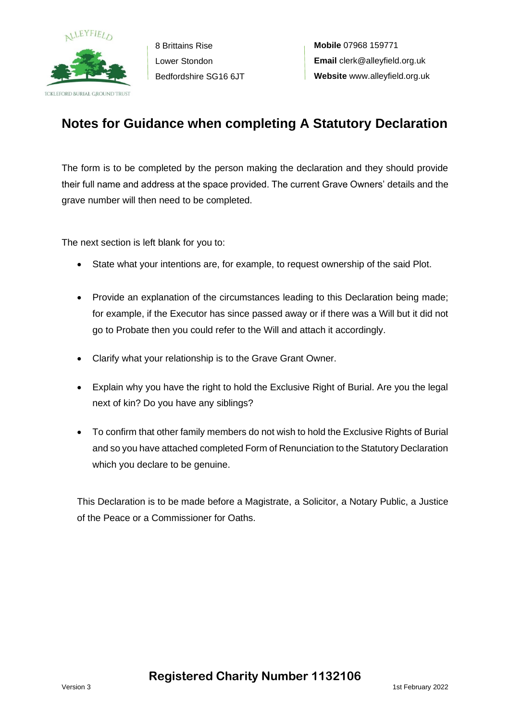

8 Brittains Rise Lower Stondon Bedfordshire SG16 6JT

**Mobile** 07968 159771 **Email** clerk@alleyfield.org.uk **Website** www.alleyfield.org.uk

## **Notes for Guidance when completing A Statutory Declaration**

The form is to be completed by the person making the declaration and they should provide their full name and address at the space provided. The current Grave Owners' details and the grave number will then need to be completed.

The next section is left blank for you to:

- State what your intentions are, for example, to request ownership of the said Plot.
- Provide an explanation of the circumstances leading to this Declaration being made; for example, if the Executor has since passed away or if there was a Will but it did not go to Probate then you could refer to the Will and attach it accordingly.
- Clarify what your relationship is to the Grave Grant Owner.
- Explain why you have the right to hold the Exclusive Right of Burial. Are you the legal next of kin? Do you have any siblings?
- To confirm that other family members do not wish to hold the Exclusive Rights of Burial and so you have attached completed Form of Renunciation to the Statutory Declaration which you declare to be genuine.

This Declaration is to be made before a Magistrate, a Solicitor, a Notary Public, a Justice of the Peace or a Commissioner for Oaths.